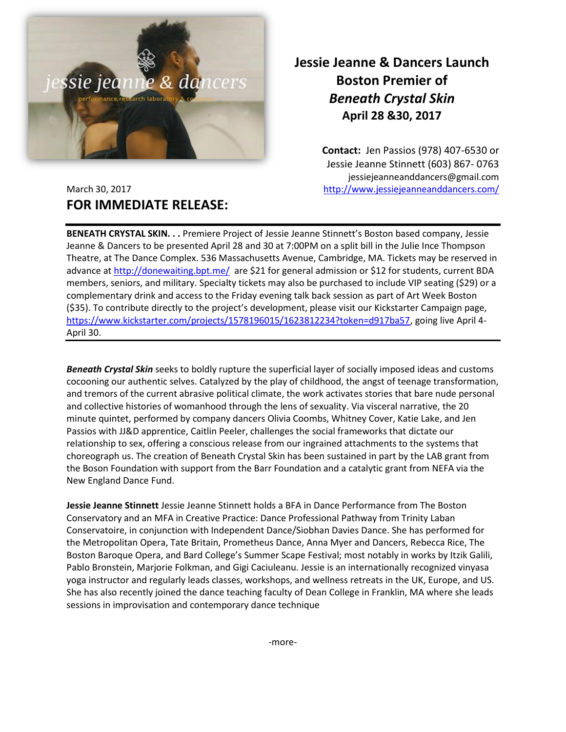

## **Jessie Jeanne & Dancers Launch Boston Premier of** *Beneath Crystal Skin* **April 28 &30, 2017**

**Contact:** Jen Passios (978) 407-6530 or Jessie Jeanne Stinnett (603) 867- 0763 jessiejeanneanddancers@gmail.com March 30, 2017 <http://www.jessiejeanneanddancers.com/>

## **FOR IMMEDIATE RELEASE:**

**BENEATH CRYSTAL SKIN. . .** Premiere Project of Jessie Jeanne Stinnett's Boston based company, Jessie Jeanne & Dancers to be presented April 28 and 30 at 7:00PM on a split bill in the Julie Ince Thompson Theatre, at The Dance Complex. 536 Massachusetts Avenue, Cambridge, MA. Tickets may be reserved in advance at<http://donewaiting.bpt.me/> are \$21 for general admission or \$12 for students, current BDA members, seniors, and military. Specialty tickets may also be purchased to include VIP seating (\$29) or a complementary drink and access to the Friday evening talk back session as part of Art Week Boston (\$35). To contribute directly to the project's development, please visit our Kickstarter Campaign page, [https://www.kickstarter.com/projects/1578196015/1623812234?token=d917ba57,](https://www.kickstarter.com/projects/1578196015/1623812234?token=d917ba57) going live April 4- April 30.

*Beneath Crystal Skin* seeks to boldly rupture the superficial layer of socially imposed ideas and customs cocooning our authentic selves. Catalyzed by the play of childhood, the angst of teenage transformation, and tremors of the current abrasive political climate, the work activates stories that bare nude personal and collective histories of womanhood through the lens of sexuality. Via visceral narrative, the 20 minute quintet, performed by company dancers Olivia Coombs, Whitney Cover, Katie Lake, and Jen Passios with JJ&D apprentice, Caitlin Peeler, challenges the social frameworks that dictate our relationship to sex, offering a conscious release from our ingrained attachments to the systems that choreograph us. The creation of Beneath Crystal Skin has been sustained in part by the LAB grant from the Boson Foundation with support from the Barr Foundation and a catalytic grant from NEFA via the New England Dance Fund.

**Jessie Jeanne Stinnett** Jessie Jeanne Stinnett holds a BFA in Dance Performance from The Boston Conservatory and an MFA in Creative Practice: Dance Professional Pathway from Trinity Laban Conservatoire, in conjunction with Independent Dance/Siobhan Davies Dance. She has performed for the Metropolitan Opera, Tate Britain, Prometheus Dance, Anna Myer and Dancers, Rebecca Rice, The Boston Baroque Opera, and Bard College's Summer Scape Festival; most notably in works by Itzik Galili, Pablo Bronstein, Marjorie Folkman, and Gigi Caciuleanu. Jessie is an internationally recognized vinyasa yoga instructor and regularly leads classes, workshops, and wellness retreats in the UK, Europe, and US. She has also recently joined the dance teaching faculty of Dean College in Franklin, MA where she leads sessions in improvisation and contemporary dance technique